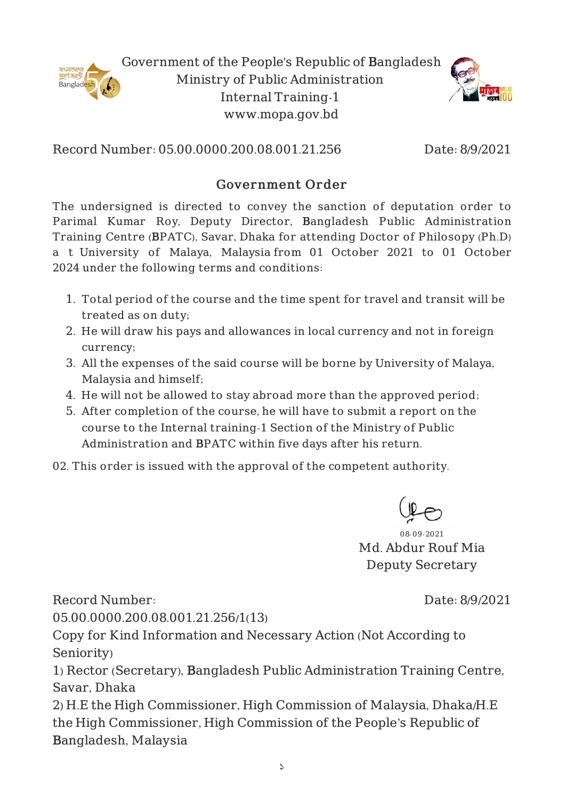

Government of the People's Republic of Bangladesh Ministry of Public Administration Internal Training-1 www.mopa.gov.bd



Record Number: 05.00.0000.200.08.001.21.256 Date: 8/9/2021

## Government Order

The undersigned is directed to convey the sanction of deputation order to Parimal Kumar Roy, Deputy Director, Bangladesh Public Administration Training Centre (BPATC), Savar, Dhaka for attending Doctor of Philosopy (Ph.D) a t University of Malaya, Malaysia from 01 October 2021 to 01 October 2024 under the following terms and conditions:

- 1. Total period of the course and the time spent for travel and transit will be treated as on duty;
- 2. He will draw his pays and allowances in local currency and not in foreign currency;
- 3. All the expenses of the said course will be borne by University of Malaya, Malaysia and himself;
- 4. He will not be allowed to stay abroad more than the approved period;
- 5. After completion of the course, he will have to submit a report on the course to the Internal training-1 Section of the Ministry of Public Administration and BPATC within five days after his return.
- 02. This order is issued with the approval of the competent authority.



08-09-2021 Md. Abdur Rouf Mia Deputy Secretary

Record Number:

Date: 8/9/2021

05.00.0000.200.08.001.21.256/1(13)

Copy for Kind Information and Necessary Action (Not According to Seniority)

1) Rector (Secretary), Bangladesh Public Administration Training Centre, Savar, Dhaka

2) H.E the High Commissioner, High Commission of Malaysia, Dhaka/H.E the High Commissioner, High Commission of the People's Republic of Bangladesh, Malaysia